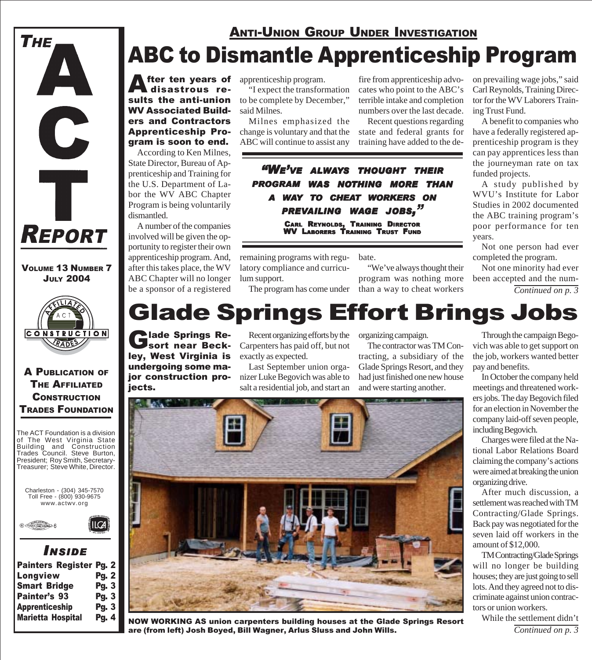

fter ten years of disastrous results the anti-union WV Associated Builders and Contractors Apprenticeship Program is soon to end.

According to Ken Milnes, State Director, Bureau of Apprenticeship and Training for the U.S. Department of Labor the WV ABC Chapter Program is being voluntarily dismantled.

A number of the companies involved will be given the opportunity to register their own apprenticeship program. And, after this takes place, the WV ABC Chapter will no longer be a sponsor of a registered

Glade Springs Re-<br>Sort near Beckley, West Virginia is undergoing some major construction pro-

jects.

**CONSTRUCTION** RADES

VOLUME 13 NUMBER 7 JULY 2004

**REPORT** 

C

Ť

THE

A PUBLICATION OF THE AFFILIATED **CONSTRUCTION** TRADES FOUNDATION



www.actwv.org

 $\mathsf{II}$  $\mathsf{CA}$ 



# *I NSIDE*

| Painters Register Pg. 2  |              |
|--------------------------|--------------|
| Longview                 | <b>Pg. 2</b> |
| <b>Smart Bridge</b>      | <b>Pg. 3</b> |
| <b>Painter's 93</b>      | <b>Pg. 3</b> |
| <b>Apprenticeship</b>    | <b>Pg. 3</b> |
| <b>Marietta Hospital</b> | <b>Pg. 4</b> |
|                          |              |

apprenticeship program.

"I expect the transformation to be complete by December," said Milnes.

Milnes emphasized the change is voluntary and that the ABC will continue to assist any

fire from apprenticeship advocates who point to the ABC's terrible intake and completion numbers over the last decade.

Recent questions regarding state and federal grants for training have added to the de-

*"WE'VE ALWAYS THOUGHT THEIR PROGRAM WAS NOTHING MORE THAN A WAY TO CHEAT WORKERS ON PREVAILING WAGE JOBS, "* CARL REYNOLDS, TRAINING DIRECTOR WV LABORERS TRAINING TRUST FUND

remaining programs with regulatory compliance and curriculum support.

The program has come under

bate. "We've always thought their program was nothing more than a way to cheat workers

on prevailing wage jobs," said Carl Reynolds, Training Director for the WV Laborers Training Trust Fund.

A benefit to companies who have a federally registered apprenticeship program is they can pay apprentices less than the journeyman rate on tax funded projects.

A study published by WVU's Institute for Labor Studies in 2002 documented the ABC training program's poor performance for ten years.

Not one person had ever completed the program.

Not one minority had ever been accepted and the num-

*Continued on p. 3*

# Glade Springs Effort Brings Jobs

Recent organizing efforts by the Carpenters has paid off, but not exactly as expected.

Last September union organizer Luke Begovich was able to salt a residential job, and start an organizing campaign.

The contractor was TM Contracting, a subsidiary of the Glade Springs Resort, and they had just finished one new house and were starting another.



NOW WORKING AS union carpenters building houses at the Glade Springs Resort are (from left) Josh Boyed, Bill Wagner, Arlus Sluss and John Wills.

### Through the campaign Begovich was able to get support on the job, workers wanted better pay and benefits.

In October the company held meetings and threatened workers jobs. The day Begovich filed for an election in November the company laid-off seven people, including Begovich.

Charges were filed at the National Labor Relations Board claiming the company's actions were aimed at breaking the union organizing drive.

After much discussion, a settlement was reached with TM Contracting/Glade Springs. Back pay was negotiated for the seven laid off workers in the amount of \$12,000.

TM Contracting/Glade Springs will no longer be building houses; they are just going to sell lots. And they agreed not to discriminate against union contractors or union workers.

*Continued on p. 3* While the settlement didn't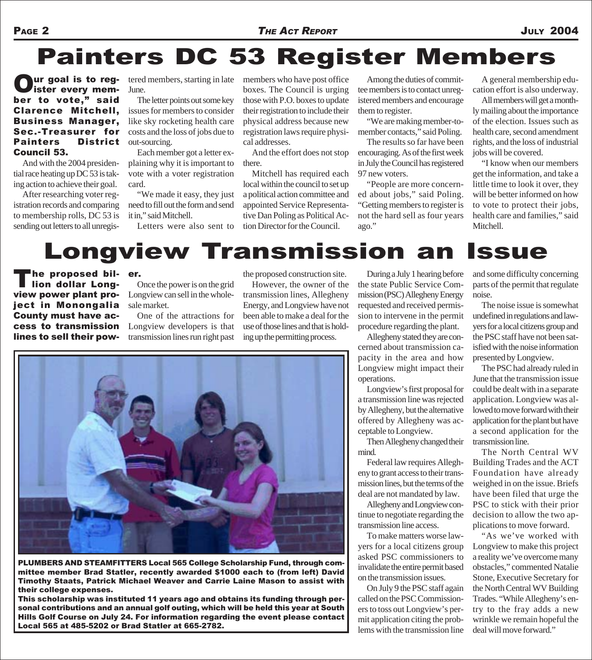# Painters DC 53 Register Members

Our goal is to regber to vote," said Clarence Mitchell, Business Manager, Sec.-Treasurer for Painters District Council 53.  $ur$  goal is to reg- tered members, starting in late

And with the 2004 presidential race heating up DC 53 is taking action to achieve their goal.

After researching voter registration records and comparing to membership rolls, DC 53 is sending out letters to all unregisJune.

The letter points out some key issues for members to consider like sky rocketing health care costs and the loss of jobs due to out-sourcing.

Each member got a letter explaining why it is important to vote with a voter registration card.

"We made it easy, they just need to fill out the form and send it in," said Mitchell.

Letters were also sent to

members who have post office boxes. The Council is urging those with P.O. boxes to update their registration to include their physical address because new registration laws require physical addresses.

And the effort does not stop there.

Mitchell has required each local within the council to set up a political action committee and appointed Service Representative Dan Poling as Political Action Director for the Council.

Among the duties of committee members is to contact unregistered members and encourage them to register.

"We are making member-tomember contacts," said Poling.

The results so far have been encouraging. As of the first week in July the Council has registered 97 new voters.

"People are more concerned about jobs," said Poling. "Getting members to register is not the hard sell as four years ago."

A general membership education effort is also underway.

All members will get a monthly mailing about the importance of the election. Issues such as health care, second amendment rights, and the loss of industrial jobs will be covered.

"I know when our members get the information, and take a little time to look it over, they will be better informed on how to vote to protect their jobs, health care and families," said Mitchell.

# Longview Transmission an Issue

The proposed bil-<br>I lion dollar Longview power plant project in Monongalia County must have access to transmission lines to sell their pow-

er.

Once the power is on the grid Longview can sell in the wholesale market.

One of the attractions for Longview developers is that transmission lines run right past the proposed construction site.

However, the owner of the transmission lines, Allegheny Energy, and Longview have not been able to make a deal for the use of those lines and that is holding up the permitting process.

During a July 1 hearing before the state Public Service Commission (PSC) Allegheny Energy requested and received permission to intervene in the permit procedure regarding the plant.

Allegheny stated they are concerned about transmission capacity in the area and how Longview might impact their operations.

Longview's first proposal for a transmission line was rejected by Allegheny, but the alternative offered by Allegheny was acceptable to Longview.

Then Allegheny changed their mind.

Federal law requires Allegheny to grant access to their transmission lines, but the terms of the deal are not mandated by law.

Allegheny and Longview continue to negotiate regarding the transmission line access.

To make matters worse lawyers for a local citizens group asked PSC commissioners to invalidate the entire permit based on the transmission issues.

On July 9 the PSC staff again called on the PSC Commissioners to toss out Longview's permit application citing the problems with the transmission line and some difficulty concerning parts of the permit that regulate noise.

The noise issue is somewhat undefined in regulations and lawyers for a local citizens group and the PSC staff have not been satisfied with the noise information presented by Longview.

The PSC had already ruled in June that the transmission issue could be dealt with in a separate application. Longview was allowed to move forward with their application for the plant but have a second application for the transmission line.

The North Central WV Building Trades and the ACT Foundation have already weighed in on the issue. Briefs have been filed that urge the PSC to stick with their prior decision to allow the two applications to move forward.

"As we've worked with Longview to make this project a reality we've overcome many obstacles," commented Natalie Stone, Executive Secretary for the North Central WV Building Trades. "While Allegheny's entry to the fray adds a new wrinkle we remain hopeful the deal will move forward."



mittee member Brad Statler, recently awarded \$1000 each to (from left) David Timothy Staats, Patrick Michael Weaver and Carrie Laine Mason to assist with their college expenses.

This scholarship was instituted 11 years ago and obtains its funding through personal contributions and an annual golf outing, which will be held this year at South Hills Golf Course on July 24. For information regarding the event please contact Local 565 at 485-5202 or Brad Statler at 665-2782.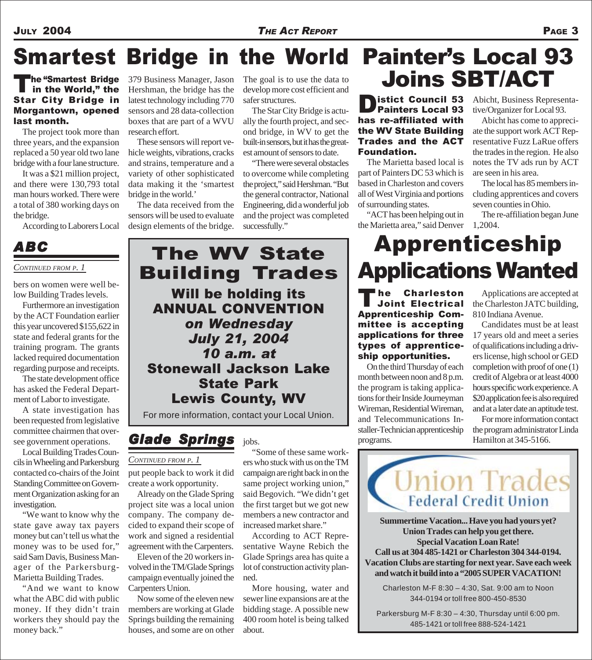## JULY 2004 *THE ACT REPORT* PAGE 3

# Smartest Bridge in the World Painter's Local 93

## The "Smartest Bridge"<br>in the World," the Star City Bridge in Morgantown, opened last month.

The project took more than three years, and the expansion replaced a 50 year old two lane bridge with a four lane structure.

It was a \$21 million project, and there were 130,793 total man hours worked. There were a total of 380 working days on the bridge.

According to Laborers Local

## *CONTINUED FROM P. 1*

low Building Trades levels.

Furthermore an investigation by the ACT Foundation earlier this year uncovered \$155,622 in state and federal grants for the training program. The grants lacked required documentation regarding purpose and receipts.

The state development office has asked the Federal Department of Labor to investigate.

A state investigation has been requested from legislative committee chairmen that oversee government operations.

Local Building Trades Councils in Wheeling and Parkersburg contacted co-chairs of the Joint Standing Committee on Government Organization asking for an investigation.

"We want to know why the state gave away tax payers money but can't tell us what the money was to be used for," said Sam Davis, Business Manager of the Parkersburg-Marietta Building Trades.

"And we want to know what the ABC did with public money. If they didn't train workers they should pay the money back."

379 Business Manager, Jason Hershman, the bridge has the latest technology including 770 sensors and 28 data-collection boxes that are part of a WVU research effort.

These sensors will report vehicle weights, vibrations, cracks and strains, temperature and a variety of other sophisticated data making it the 'smartest bridge in the world.'

The data received from the sensors will be used to evaluate design elements of the bridge.

The goal is to use the data to develop more cost efficient and safer structures.

The Star City Bridge is actually the fourth project, and second bridge, in WV to get the built-in sensors, but it has the greatest amount of sensors to date.

"There were several obstacles to overcome while completing the project," said Hershman. "But the general contractor, National Engineering, did a wonderful job and the project was completed successfully."

# The "Smartest Bridge 379 Business Manager, Jason The goal is to use the data to **Joins SBT/ACT**

Distict Council 53 has re-affiliated with the WV State Building Trades and the ACT Foundation.

The Marietta based local is part of Painters DC 53 which is based in Charleston and covers all of West Virginia and portions of surrounding states.

"ACT has been helping out in the Marietta area," said Denver 1,2004.

Abicht, Business Representative/Organizer for Local 93.

Abicht has come to appreciate the support work ACT Representative Fuzz LaRue offers the trades in the region. He also notes the TV ads run by ACT are seen in his area.

The local has 85 members including apprentices and covers seven counties in Ohio.

The re-affiliation began June

# Apprenticeship

The Charleston<br>Joint Electrical Apprenticeship Committee is accepting applications for three types of apprenticeship opportunities.

On the third Thursday of each month between noon and 8 p.m. the program is taking applications for their Inside Journeyman Wireman, Residential Wireman, and Telecommunications Installer-Technician apprenticeship programs.

Applications are accepted at the Charleston JATC building, 810 Indiana Avenue.

Candidates must be at least 17 years old and meet a series of qualifications including a drivers license, high school or GED completion with proof of one (1) credit of Algebra or at least 4000 hours specific work experience. A \$20 application fee is also required and at a later date an aptitude test.

For more information contact the program administrator Linda Hamilton at 345-5166.

Union Trades **Federal Credit Union** 

> **Summertime Vacation... Have you had yours yet? Union Trades can help you get there. Special Vacation Loan Rate! Call us at 304 485-1421 or Charleston 304 344-0194. Vacation Clubs are starting for next year. Save each week and watch it build into a "2005 SUPER VACATION!**

Charleston M-F 8:30 – 4:30, Sat. 9:00 am to Noon 344-0194 or toll free 800-450-8530

Parkersburg M-F 8:30 – 4:30, Thursday until 6:00 pm. 485-1421 or toll free 888-524-1421

Applications Wanted bers on women were well be-*ABC* The WV State Building Trades Will be holding its ANNUAL CONVENTION *on Wednesday July 21, 2004 10 a.m. at* Stonewall Jackson Lake State Park Lewis County, WV

For more information, contact your Local Union.

jobs.

# *Glade Springs*

### *CONTINUED FROM P. 1*

put people back to work it did create a work opportunity.

Already on the Glade Spring project site was a local union company. The company decided to expand their scope of work and signed a residential agreement with the Carpenters.

Eleven of the 20 workers involved in the TM/Glade Springs campaign eventually joined the Carpenters Union.

Now some of the eleven new members are working at Glade Springs building the remaining houses, and some are on other

"Some of these same workers who stuck with us on the TM campaign are right back in on the same project working union," said Begovich. "We didn't get the first target but we got new members a new contractor and increased market share."

According to ACT Representative Wayne Rebich the Glade Springs area has quite a lot of construction activity planned.

More housing, water and sewer line expansions are at the bidding stage. A possible new 400 room hotel is being talked about.